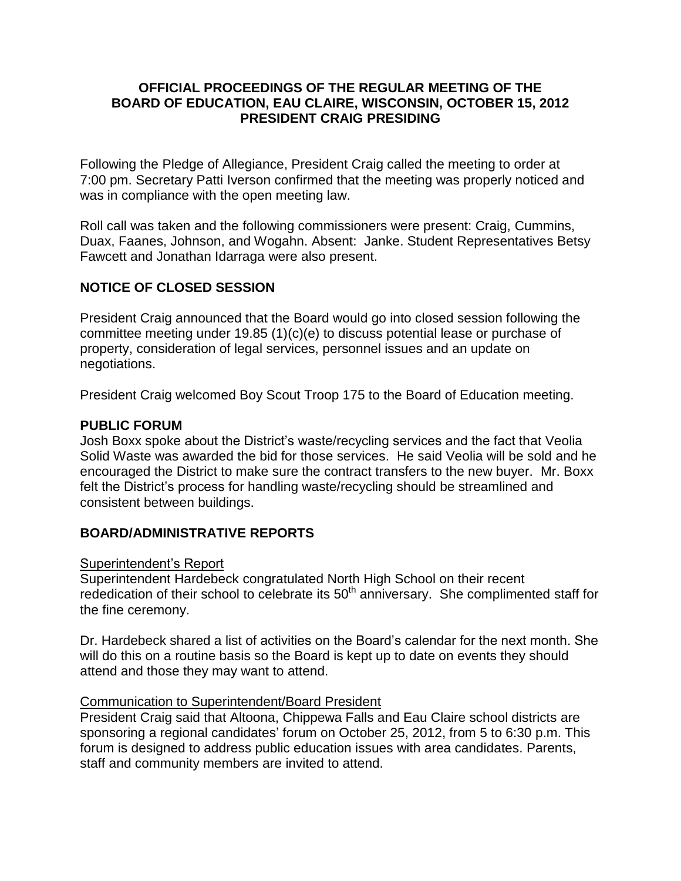### **OFFICIAL PROCEEDINGS OF THE REGULAR MEETING OF THE BOARD OF EDUCATION, EAU CLAIRE, WISCONSIN, OCTOBER 15, 2012 PRESIDENT CRAIG PRESIDING**

Following the Pledge of Allegiance, President Craig called the meeting to order at 7:00 pm. Secretary Patti Iverson confirmed that the meeting was properly noticed and was in compliance with the open meeting law.

Roll call was taken and the following commissioners were present: Craig, Cummins, Duax, Faanes, Johnson, and Wogahn. Absent: Janke. Student Representatives Betsy Fawcett and Jonathan Idarraga were also present.

# **NOTICE OF CLOSED SESSION**

President Craig announced that the Board would go into closed session following the committee meeting under 19.85 (1)(c)(e) to discuss potential lease or purchase of property, consideration of legal services, personnel issues and an update on negotiations.

President Craig welcomed Boy Scout Troop 175 to the Board of Education meeting.

#### **PUBLIC FORUM**

Josh Boxx spoke about the District's waste/recycling services and the fact that Veolia Solid Waste was awarded the bid for those services. He said Veolia will be sold and he encouraged the District to make sure the contract transfers to the new buyer. Mr. Boxx felt the District's process for handling waste/recycling should be streamlined and consistent between buildings.

### **BOARD/ADMINISTRATIVE REPORTS**

### Superintendent's Report

Superintendent Hardebeck congratulated North High School on their recent rededication of their school to celebrate its  $50<sup>th</sup>$  anniversary. She complimented staff for the fine ceremony.

Dr. Hardebeck shared a list of activities on the Board's calendar for the next month. She will do this on a routine basis so the Board is kept up to date on events they should attend and those they may want to attend.

### Communication to Superintendent/Board President

President Craig said that Altoona, Chippewa Falls and Eau Claire school districts are sponsoring a regional candidates' forum on October 25, 2012, from 5 to 6:30 p.m. This forum is designed to address public education issues with area candidates. Parents, staff and community members are invited to attend.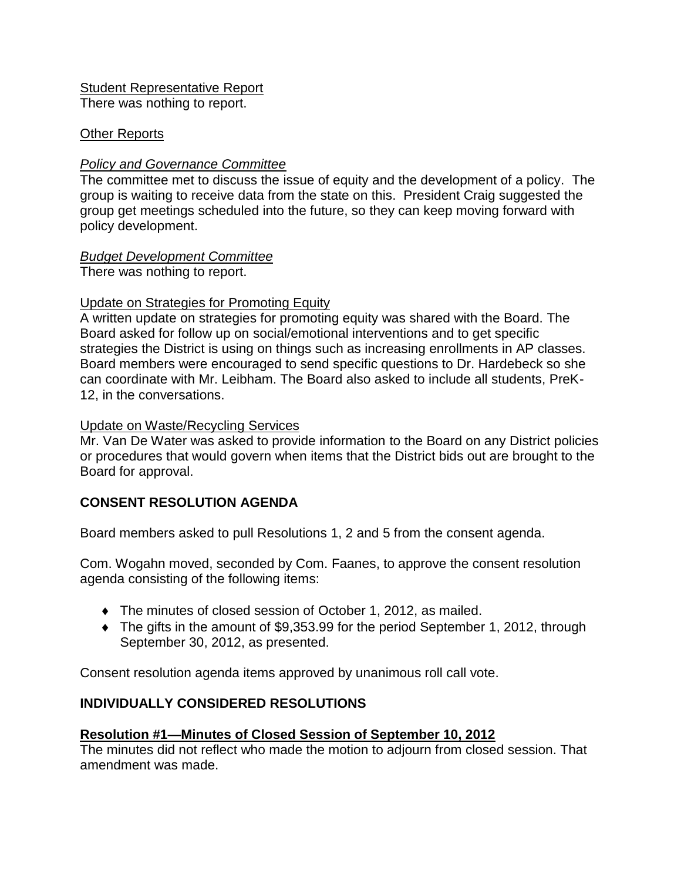Student Representative Report

There was nothing to report.

# Other Reports

# *Policy and Governance Committee*

The committee met to discuss the issue of equity and the development of a policy. The group is waiting to receive data from the state on this. President Craig suggested the group get meetings scheduled into the future, so they can keep moving forward with policy development.

### *Budget Development Committee*

There was nothing to report.

# Update on Strategies for Promoting Equity

A written update on strategies for promoting equity was shared with the Board. The Board asked for follow up on social/emotional interventions and to get specific strategies the District is using on things such as increasing enrollments in AP classes. Board members were encouraged to send specific questions to Dr. Hardebeck so she can coordinate with Mr. Leibham. The Board also asked to include all students, PreK-12, in the conversations.

# Update on Waste/Recycling Services

Mr. Van De Water was asked to provide information to the Board on any District policies or procedures that would govern when items that the District bids out are brought to the Board for approval.

# **CONSENT RESOLUTION AGENDA**

Board members asked to pull Resolutions 1, 2 and 5 from the consent agenda.

Com. Wogahn moved, seconded by Com. Faanes, to approve the consent resolution agenda consisting of the following items:

- The minutes of closed session of October 1, 2012, as mailed.
- The gifts in the amount of \$9,353.99 for the period September 1, 2012, through September 30, 2012, as presented.

Consent resolution agenda items approved by unanimous roll call vote.

# **INDIVIDUALLY CONSIDERED RESOLUTIONS**

# **Resolution #1—Minutes of Closed Session of September 10, 2012**

The minutes did not reflect who made the motion to adjourn from closed session. That amendment was made.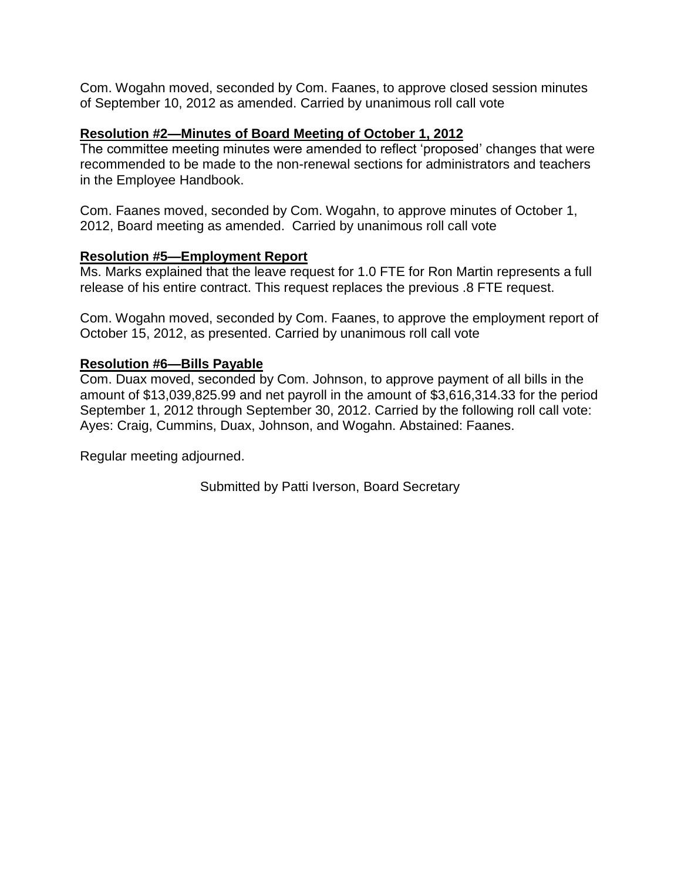Com. Wogahn moved, seconded by Com. Faanes, to approve closed session minutes of September 10, 2012 as amended. Carried by unanimous roll call vote

### **Resolution #2—Minutes of Board Meeting of October 1, 2012**

The committee meeting minutes were amended to reflect 'proposed' changes that were recommended to be made to the non-renewal sections for administrators and teachers in the Employee Handbook.

Com. Faanes moved, seconded by Com. Wogahn, to approve minutes of October 1, 2012, Board meeting as amended. Carried by unanimous roll call vote

#### **Resolution #5—Employment Report**

Ms. Marks explained that the leave request for 1.0 FTE for Ron Martin represents a full release of his entire contract. This request replaces the previous .8 FTE request.

Com. Wogahn moved, seconded by Com. Faanes, to approve the employment report of October 15, 2012, as presented. Carried by unanimous roll call vote

#### **Resolution #6—Bills Payable**

Com. Duax moved, seconded by Com. Johnson, to approve payment of all bills in the amount of \$13,039,825.99 and net payroll in the amount of \$3,616,314.33 for the period September 1, 2012 through September 30, 2012. Carried by the following roll call vote: Ayes: Craig, Cummins, Duax, Johnson, and Wogahn. Abstained: Faanes.

Regular meeting adjourned.

Submitted by Patti Iverson, Board Secretary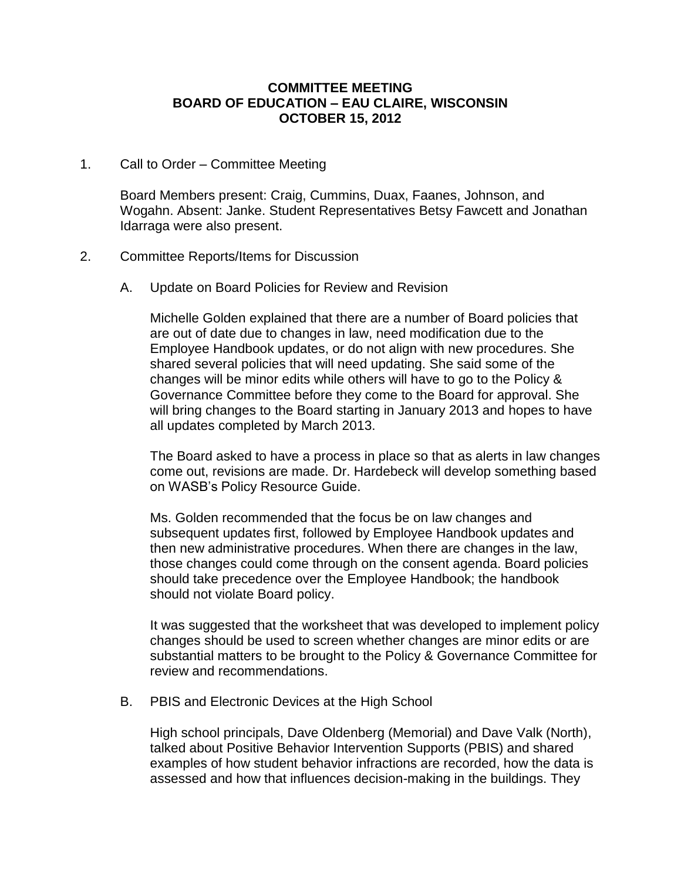#### **COMMITTEE MEETING BOARD OF EDUCATION – EAU CLAIRE, WISCONSIN OCTOBER 15, 2012**

1. Call to Order – Committee Meeting

Board Members present: Craig, Cummins, Duax, Faanes, Johnson, and Wogahn. Absent: Janke. Student Representatives Betsy Fawcett and Jonathan Idarraga were also present.

- 2. Committee Reports/Items for Discussion
	- A. Update on Board Policies for Review and Revision

Michelle Golden explained that there are a number of Board policies that are out of date due to changes in law, need modification due to the Employee Handbook updates, or do not align with new procedures. She shared several policies that will need updating. She said some of the changes will be minor edits while others will have to go to the Policy & Governance Committee before they come to the Board for approval. She will bring changes to the Board starting in January 2013 and hopes to have all updates completed by March 2013.

The Board asked to have a process in place so that as alerts in law changes come out, revisions are made. Dr. Hardebeck will develop something based on WASB's Policy Resource Guide.

Ms. Golden recommended that the focus be on law changes and subsequent updates first, followed by Employee Handbook updates and then new administrative procedures. When there are changes in the law, those changes could come through on the consent agenda. Board policies should take precedence over the Employee Handbook; the handbook should not violate Board policy.

It was suggested that the worksheet that was developed to implement policy changes should be used to screen whether changes are minor edits or are substantial matters to be brought to the Policy & Governance Committee for review and recommendations.

B. PBIS and Electronic Devices at the High School

High school principals, Dave Oldenberg (Memorial) and Dave Valk (North), talked about Positive Behavior Intervention Supports (PBIS) and shared examples of how student behavior infractions are recorded, how the data is assessed and how that influences decision-making in the buildings. They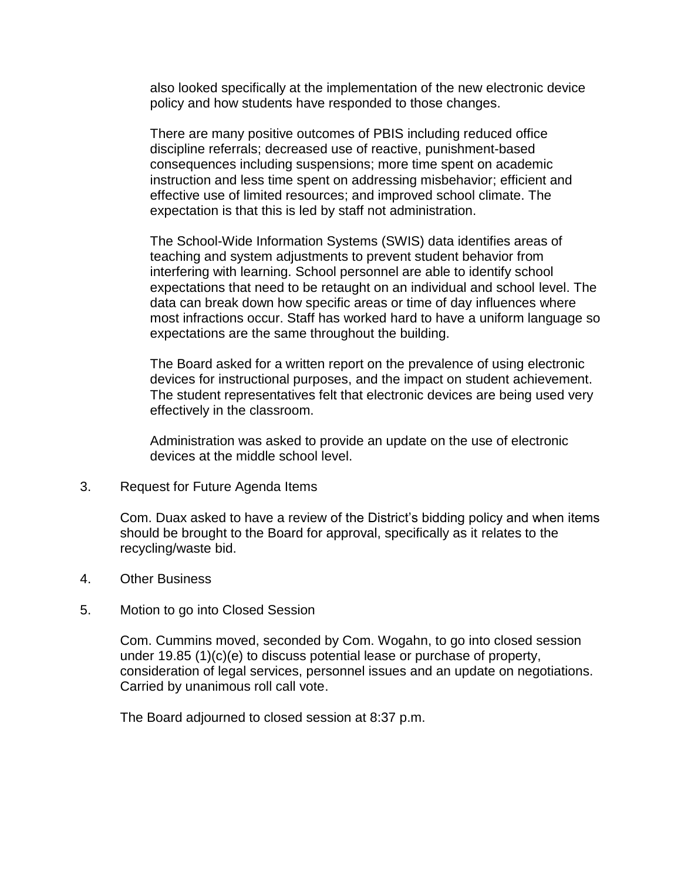also looked specifically at the implementation of the new electronic device policy and how students have responded to those changes.

There are many positive outcomes of PBIS including reduced office discipline referrals; decreased use of reactive, punishment-based consequences including suspensions; more time spent on academic instruction and less time spent on addressing misbehavior; efficient and effective use of limited resources; and improved school climate. The expectation is that this is led by staff not administration.

The School-Wide Information Systems (SWIS) data identifies areas of teaching and system adjustments to prevent student behavior from interfering with learning. School personnel are able to identify school expectations that need to be retaught on an individual and school level. The data can break down how specific areas or time of day influences where most infractions occur. Staff has worked hard to have a uniform language so expectations are the same throughout the building.

The Board asked for a written report on the prevalence of using electronic devices for instructional purposes, and the impact on student achievement. The student representatives felt that electronic devices are being used very effectively in the classroom.

Administration was asked to provide an update on the use of electronic devices at the middle school level.

3. Request for Future Agenda Items

Com. Duax asked to have a review of the District's bidding policy and when items should be brought to the Board for approval, specifically as it relates to the recycling/waste bid.

- 4. Other Business
- 5. Motion to go into Closed Session

Com. Cummins moved, seconded by Com. Wogahn, to go into closed session under 19.85 (1)(c)(e) to discuss potential lease or purchase of property, consideration of legal services, personnel issues and an update on negotiations. Carried by unanimous roll call vote.

The Board adjourned to closed session at 8:37 p.m.